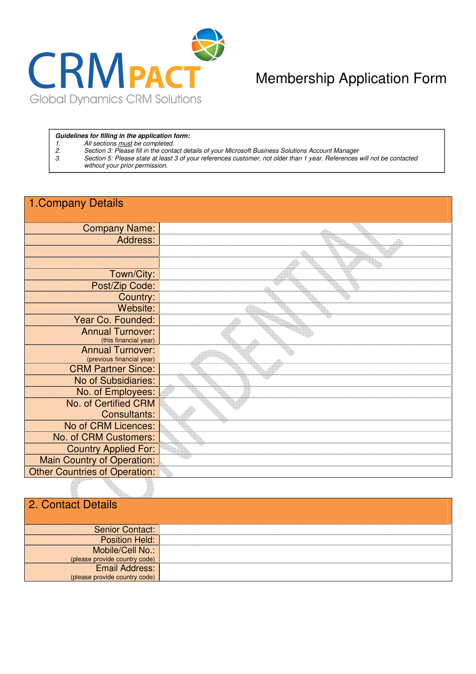

## Membership Application Form

#### **Guidelines for filling in the application form:**

- 
- 1. All sections <u>must</u> be completed.<br>2. Section 3: Please fill in the conta<br>3. Section 5: Please state at least Section 3: Please fill in the contact details of your Microsoft Business Solutions Account Manager
- 3. Section 5: Please state at least 3 of your references customer, not older than 1 year. References will not be contacted without your prior permission.

### 1.Company Details

| <b>Company Name:</b>                             |  |
|--------------------------------------------------|--|
| Address:                                         |  |
|                                                  |  |
|                                                  |  |
| Town/City:                                       |  |
| Post/Zip Code:                                   |  |
| Country:                                         |  |
| Website:                                         |  |
| Year Co. Founded:                                |  |
| <b>Annual Turnover:</b>                          |  |
| (this financial year)<br><b>Annual Turnover:</b> |  |
| (previous financial year)                        |  |
| <b>CRM Partner Since:</b>                        |  |
| No of Subsidiaries:                              |  |
| No. of Employees:                                |  |
| No. of Certified CRM                             |  |
| Consultants:                                     |  |
| No of CRM Licences:                              |  |
| No. of CRM Customers:                            |  |
| <b>Country Applied For:</b>                      |  |
| <b>Main Country of Operation:</b>                |  |
| <b>Other Countries of Operation:</b>             |  |

### 2. Contact Details

| <b>Senior Contact:</b>        |  |
|-------------------------------|--|
| <b>Position Held:</b>         |  |
| Mobile/Cell No.:              |  |
| (please provide country code) |  |
| <b>Email Address:</b>         |  |
| (please provide country code) |  |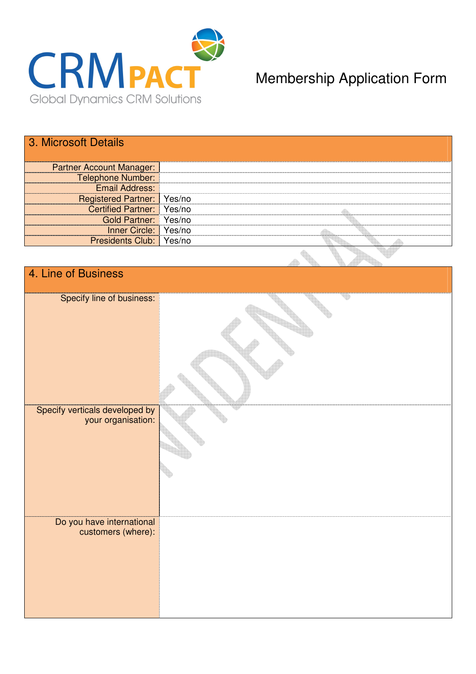

# Membership Application Form

### 3. Microsoft Details

| <b>Partner Account Manager:</b>   |  |
|-----------------------------------|--|
| <b>Telephone Number:</b>          |  |
| <b>Email Address:</b>             |  |
| <b>Registered Partner:</b> Yes/no |  |
| Certified Partner: Yes/no         |  |
| Gold Partner: Yes/no              |  |
| Inner Circle: Yes/no              |  |
| <b>Presidents Club:</b> Yes/no    |  |
|                                   |  |

| 4. Line of Business            |  |  |  |  |  |
|--------------------------------|--|--|--|--|--|
|                                |  |  |  |  |  |
|                                |  |  |  |  |  |
| Specify line of business:      |  |  |  |  |  |
|                                |  |  |  |  |  |
|                                |  |  |  |  |  |
|                                |  |  |  |  |  |
|                                |  |  |  |  |  |
|                                |  |  |  |  |  |
|                                |  |  |  |  |  |
|                                |  |  |  |  |  |
|                                |  |  |  |  |  |
|                                |  |  |  |  |  |
|                                |  |  |  |  |  |
|                                |  |  |  |  |  |
|                                |  |  |  |  |  |
|                                |  |  |  |  |  |
| Specify verticals developed by |  |  |  |  |  |
|                                |  |  |  |  |  |
| your organisation:             |  |  |  |  |  |
|                                |  |  |  |  |  |
|                                |  |  |  |  |  |
|                                |  |  |  |  |  |
|                                |  |  |  |  |  |
|                                |  |  |  |  |  |
|                                |  |  |  |  |  |
|                                |  |  |  |  |  |
|                                |  |  |  |  |  |
|                                |  |  |  |  |  |
|                                |  |  |  |  |  |
|                                |  |  |  |  |  |
| Do you have international      |  |  |  |  |  |
|                                |  |  |  |  |  |
| customers (where):             |  |  |  |  |  |
|                                |  |  |  |  |  |
|                                |  |  |  |  |  |
|                                |  |  |  |  |  |
|                                |  |  |  |  |  |
|                                |  |  |  |  |  |
|                                |  |  |  |  |  |
|                                |  |  |  |  |  |
|                                |  |  |  |  |  |
|                                |  |  |  |  |  |
|                                |  |  |  |  |  |